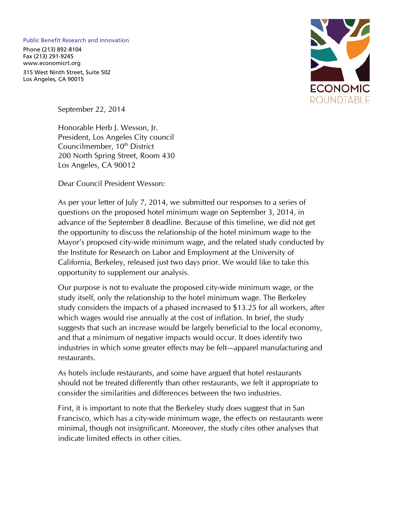## Public Benefit Research and Innovation

Phone (213) 892-8104 Fax (213) 291-9245 www.economicrt.org

315 West Ninth Street, Suite 502 Los Angeles, CA 90015



September 22, 2014

Honorable Herb J. Wesson, Jr. President, Los Angeles City council Councilmember, 10<sup>th</sup> District 200 North Spring Street, Room 430 Los Angeles, CA 90012

Dear Council President Wesson:

As per your letter of July 7, 2014, we submitted our responses to a series of questions on the proposed hotel minimum wage on September 3, 2014, in advance of the September 8 deadline. Because of this timeline, we did not get the opportunity to discuss the relationship of the hotel minimum wage to the Mayor's proposed city-wide minimum wage, and the related study conducted by the Institute for Research on Labor and Employment at the University of California, Berkeley, released just two days prior. We would like to take this opportunity to supplement our analysis.

Our purpose is not to evaluate the proposed city-wide minimum wage, or the study itself, only the relationship to the hotel minimum wage. The Berkeley study considers the impacts of a phased increased to \$13.25 for all workers, after which wages would rise annually at the cost of inflation. In brief, the study suggests that such an increase would be largely beneficial to the local economy, and that a minimum of negative impacts would occur. It does identify two industries in which some greater effects may be felt—apparel manufacturing and restaurants.

As hotels include restaurants, and some have argued that hotel restaurants should not be treated differently than other restaurants, we felt it appropriate to consider the similarities and differences between the two industries.

First, it is important to note that the Berkeley study does suggest that in San Francisco, which has a city-wide minimum wage, the effects on restaurants were minimal, though not insignificant. Moreover, the study cites other analyses that indicate limited effects in other cities.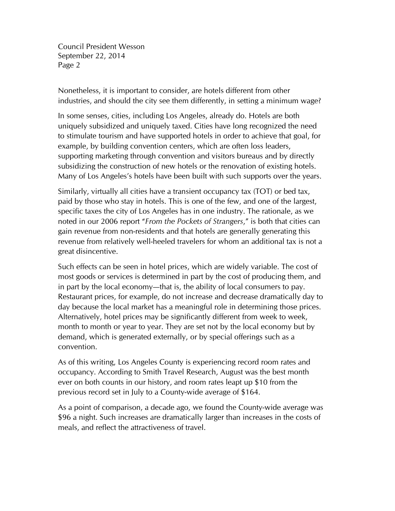Council President Wesson September 22, 2014 Page 2

Nonetheless, it is important to consider, are hotels different from other industries, and should the city see them differently, in setting a minimum wage?

In some senses, cities, including Los Angeles, already do. Hotels are both uniquely subsidized and uniquely taxed. Cities have long recognized the need to stimulate tourism and have supported hotels in order to achieve that goal, for example, by building convention centers, which are often loss leaders, supporting marketing through convention and visitors bureaus and by directly subsidizing the construction of new hotels or the renovation of existing hotels. Many of Los Angeles's hotels have been built with such supports over the years.

Similarly, virtually all cities have a transient occupancy tax (TOT) or bed tax, paid by those who stay in hotels. This is one of the few, and one of the largest, specific taxes the city of Los Angeles has in one industry. The rationale, as we noted in our 2006 report "*From the Pockets of Strangers*," is both that cities can gain revenue from non-residents and that hotels are generally generating this revenue from relatively well-heeled travelers for whom an additional tax is not a great disincentive.

Such effects can be seen in hotel prices, which are widely variable. The cost of most goods or services is determined in part by the cost of producing them, and in part by the local economy—that is, the ability of local consumers to pay. Restaurant prices, for example, do not increase and decrease dramatically day to day because the local market has a meaningful role in determining those prices. Alternatively, hotel prices may be significantly different from week to week, month to month or year to year. They are set not by the local economy but by demand, which is generated externally, or by special offerings such as a convention.

As of this writing, Los Angeles County is experiencing record room rates and occupancy. According to Smith Travel Research, August was the best month ever on both counts in our history, and room rates leapt up \$10 from the previous record set in July to a County-wide average of \$164.

As a point of comparison, a decade ago, we found the County-wide average was \$96 a night. Such increases are dramatically larger than increases in the costs of meals, and reflect the attractiveness of travel.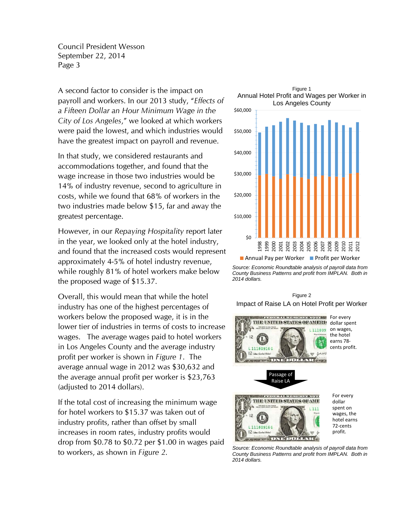Council President Wesson September 22, 2014 Page 3

A second factor to consider is the impact on payroll and workers. In our 2013 study, "*Effects of a Fifteen Dollar an Hour Minimum Wage in the City of Los Angeles*," we looked at which workers were paid the lowest, and which industries would have the greatest impact on payroll and revenue.

In that study, we considered restaurants and accommodations together, and found that the wage increase in those two industries would be 14% of industry revenue, second to agriculture in costs, while we found that 68% of workers in the two industries made below \$15, far and away the greatest percentage.

However, in our *Repaying Hospitality* report later in the year, we looked only at the hotel industry, and found that the increased costs would represent approximately 4-5% of hotel industry revenue, while roughly 81% of hotel workers make below the proposed wage of \$15.37.

Overall, this would mean that while the hotel industry has one of the highest percentages of workers below the proposed wage, it is in the lower tier of industries in terms of costs to increase wages. The average wages paid to hotel workers in Los Angeles County and the average industry profit per worker is shown in *Figure 1*. The average annual wage in 2012 was \$30,632 and the average annual profit per worker is \$23,763 (adjusted to 2014 dollars).

If the total cost of increasing the minimum wage for hotel workers to \$15.37 was taken out of industry profits, rather than offset by small increases in room rates, industry profits would drop from \$0.78 to \$0.72 per \$1.00 in wages paid to workers, as shown in *Figure 2*.



*Source: Economic Roundtable analysis of payroll data from County Business Patterns and profit from IMPLAN. Both in 2014 dollars.* 

## Figure 2 Impact of Raise LA on Hotel Profit per Worker



For every dollar spent on wages, the hotel earns 78‐ cents profit.



*Source: Economic Roundtable analysis of payroll data from County Business Patterns and profit from IMPLAN. Both in 2014 dollars.*